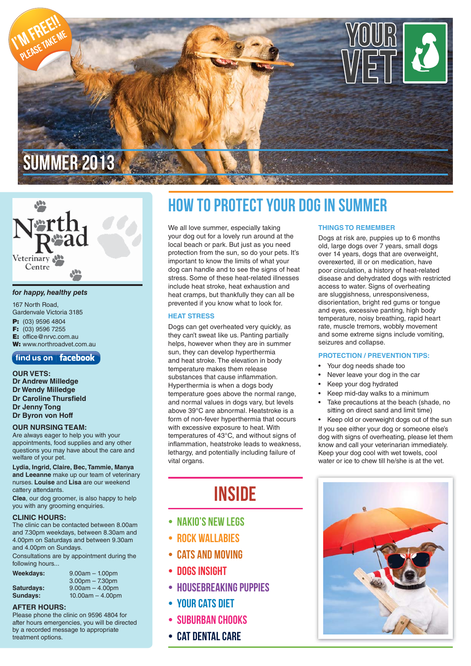

# Veterinary Centre

#### *for happy, healthy pets*

167 North Road, Gardenvale Victoria 3185 **P:** (03) 9596 4804 **F:** (03) 9596 7255 **E:** office@nrvc.com.au **W:** www.northroadvet.com.au

#### find us on | facebook

**OUR VETS: Dr Andrew Milledge Dr Wendy Milledge Dr Caroline Thursfield Dr Jenny Tong Dr Byron von Hoff**

#### **OUR NURSING TEAM:**

Are always eager to help you with your appointments, food supplies and any other questions you may have about the care and welfare of your pet.

**Lydia, Ingrid, Claire, Bec, Tammie, Manya and Leeanne** make up our team of veterinary nurses. **Louise** and **Lisa** are our weekend cattery attendants.

**Clea**, our dog groomer, is also happy to help you with any grooming enquiries.

#### **CLINIC HOURS:**

The clinic can be contacted between 8.00am and 7.30pm weekdays, between 8.30am and 4.00pm on Saturdays and between 9.30am and 4.00pm on Sundays.

Consultations are by appointment during the following hours...

| Weekdays:  | $9.00am - 1.00pm$  |
|------------|--------------------|
|            | $3.00pm - 7.30pm$  |
| Saturdays: | $9.00am - 4.00pm$  |
| Sundays:   | $10.00am - 4.00pm$ |

#### **AFTER HOURS:**

Please phone the clinic on 9596 4804 for after hours emergencies, you will be directed by a recorded message to appropriate treatment options.

### How To Protect Your Dog in Summer

We all love summer, especially taking your dog out for a lovely run around at the local beach or park. But just as you need protection from the sun, so do your pets. It's important to know the limits of what your dog can handle and to see the signs of heat stress. Some of these heat-related illnesses include heat stroke, heat exhaustion and heat cramps, but thankfully they can all be prevented if you know what to look for.

#### **HEAT STRESS**

Dogs can get overheated very quickly, as they can't sweat like us. Panting partially helps, however when they are in summer sun, they can develop hyperthermia and heat stroke. The elevation in body temperature makes them release substances that cause inflammation. Hyperthermia is when a dogs body temperature goes above the normal range, and normal values in dogs vary, but levels above 39°C are abnormal. Heatstroke is a form of non-fever hyperthermia that occurs with excessive exposure to heat. With temperatures of 43°C, and without signs of inflammation, heatstroke leads to weakness, lethargy, and potentially including failure of vital organs.

### **INSIDE**

- Nakio's new legs
- Rock Wallabies
- Cats and moving
- Dogs insight
- HOUSEBREAKING PUPPIES
- Your cats diet
- SUBURBAN CHOOKS
- Cat Dental Care

#### **THINGS TO REMEMBER**

Dogs at risk are, puppies up to 6 months old, large dogs over 7 years, small dogs over 14 years, dogs that are overweight, overexerted, ill or on medication, have poor circulation, a history of heat-related disease and dehydrated dogs with restricted access to water. Signs of overheating are sluggishness, unresponsiveness, disorientation, bright red gums or tongue and eyes, excessive panting, high body temperature, noisy breathing, rapid heart rate, muscle tremors, wobbly movement and some extreme signs include vomiting, seizures and collapse.

#### **PROTECTION / PREVENTION TIPS:**

- Your dog needs shade too
- Never leave your dog in the car
- Keep your dog hydrated
- Keep mid-day walks to a minimum
- Take precautions at the beach (shade, no sitting on direct sand and limit time)

• Keep old or overweight dogs out of the sun If you see either your dog or someone else's dog with signs of overheating, please let them know and call your veterinarian immediately. Keep your dog cool with wet towels, cool water or ice to chew till he/she is at the vet.

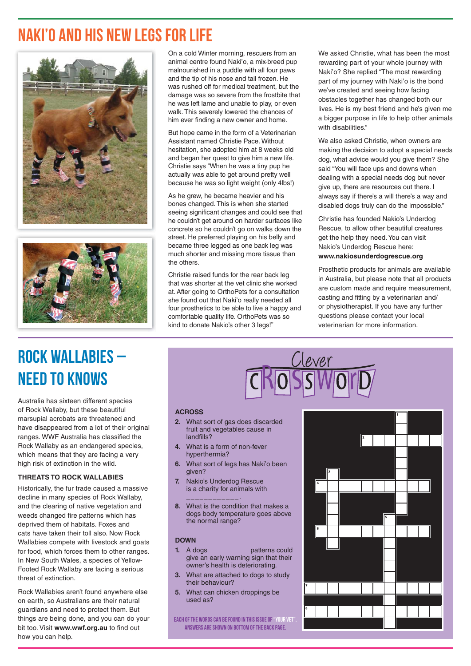### Naki'o and his new legs for life





On a cold Winter morning, rescuers from an animal centre found Naki'o, a mix-breed pup malnourished in a puddle with all four paws and the tip of his nose and tail frozen. He was rushed off for medical treatment, but the damage was so severe from the frostbite that he was left lame and unable to play, or even walk. This severely lowered the chances of him ever finding a new owner and home.

But hope came in the form of a Veterinarian Assistant named Christie Pace. Without hesitation, she adopted him at 8 weeks old and began her quest to give him a new life. Christie says "When he was a tiny pup he actually was able to get around pretty well because he was so light weight (only 4lbs!)

As he grew, he became heavier and his bones changed. This is when she started seeing significant changes and could see that he couldn't get around on harder surfaces like concrete so he couldn't go on walks down the street. He preferred playing on his belly and became three legged as one back leg was much shorter and missing more tissue than the others.

Christie raised funds for the rear back leg that was shorter at the vet clinic she worked at. After going to OrthoPets for a consultation she found out that Naki'o really needed all four prosthetics to be able to live a happy and comfortable quality life. OrthoPets was so kind to donate Nakio's other 3 legs!"

We asked Christie, what has been the most rewarding part of your whole journey with Naki'o? She replied "The most rewarding part of my journey with Naki'o is the bond we've created and seeing how facing obstacles together has changed both our lives. He is my best friend and he's given me a bigger purpose in life to help other animals with disabilities."

We also asked Christie, when owners are making the decision to adopt a special needs dog, what advice would you give them? She said "You will face ups and downs when dealing with a special needs dog but never give up, there are resources out there. I always say if there's a will there's a way and disabled dogs truly can do the impossible."

Christie has founded Nakio's Underdog Rescue, to allow other beautiful creatures get the help they need. You can visit Nakio's Underdog Rescue here: **www.nakiosunderdogrescue.org**

Prosthetic products for animals are available in Australia, but please note that all products are custom made and require measurement, casting and fitting by a veterinarian and/ or physiotherapist. If you have any further questions please contact your local veterinarian for more information.

# Rock Wallabies – Need to knows

Australia has sixteen different species of Rock Wallaby, but these beautiful marsupial acrobats are threatened and have disappeared from a lot of their original ranges. WWF Australia has classified the Rock Wallaby as an endangered species, which means that they are facing a very high risk of extinction in the wild.

#### **THREATS TO ROCK WALLABIES**

Historically, the fur trade caused a massive decline in many species of Rock Wallaby, and the clearing of native vegetation and weeds changed fire patterns which has deprived them of habitats. Foxes and cats have taken their toll also. Now Rock Wallabies compete with livestock and goats for food, which forces them to other ranges. In New South Wales, a species of Yellow-Footed Rock Wallaby are facing a serious threat of extinction.

Rock Wallabies aren't found anywhere else on earth, so Australians are their natural guardians and need to protect them. But things are being done, and you can do your bit too. Visit www.wwf.org.au to find out how you can help.

#### **ACROSS**

- **2.** What sort of gas does discarded fruit and vegetables cause in landfills?
- **4.** What is a form of non-fever hyperthermia?
- **6.** What sort of legs has Naki'o been given?
- **7.** Nakio's Underdog Rescue is a charity for animals with \_\_\_\_\_\_\_\_\_\_\_\_.
- **8.** What is the condition that makes a dogs body temperature goes above the normal range?

#### **DOWN**

- **1.** A dogs \_\_\_\_\_\_\_\_\_ patterns could give an early warning sign that their owner's health is deteriorating.
- **3.** What are attached to dogs to study their behaviour?
- **5.** What can chicken droppings be used as?

Each of the words can be found in this issue of"Your vet". Answers are shown on bottom of the back page.

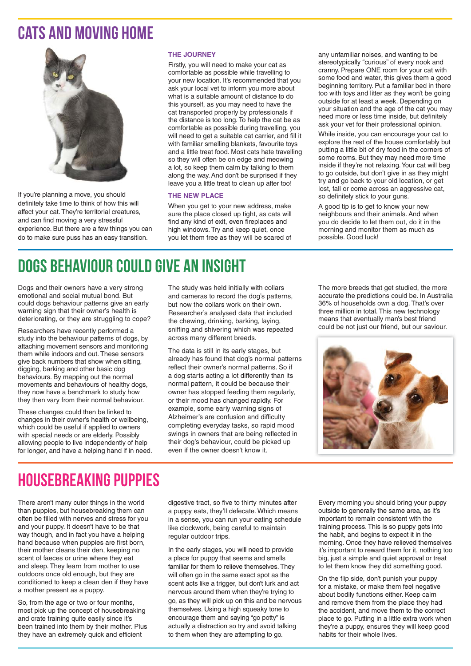### CATS AND MOVING HOME



If you're planning a move, you should definitely take time to think of how this will affect your cat. They're territorial creatures, and can find moving a very stressful experience. But there are a few things you can do to make sure puss has an easy transition.

#### **THE JOURNEY**

Firstly, you will need to make your cat as comfortable as possible while travelling to your new location. It's recommended that you ask your local vet to inform you more about what is a suitable amount of distance to do this yourself, as you may need to have the cat transported properly by professionals if the distance is too long. To help the cat be as comfortable as possible during travelling, you will need to get a suitable cat carrier, and fill it with familiar smelling blankets, favourite toys and a little treat food. Most cats hate travelling so they will often be on edge and meowing a lot, so keep them calm by talking to them along the way. And don't be surprised if they leave you a little treat to clean up after too!

#### **THE NEW PLACE**

When you get to your new address, make sure the place closed up tight, as cats will find any kind of exit, even fireplaces and high windows. Try and keep quiet, once you let them free as they will be scared of any unfamiliar noises, and wanting to be stereotypically "curious" of every nook and cranny. Prepare ONE room for your cat with some food and water, this gives them a good beginning territory. Put a familiar bed in there too with toys and litter as they won't be going outside for at least a week. Depending on your situation and the age of the cat you may need more or less time inside, but definitely ask your vet for their professional opinion.

While inside, you can encourage your cat to explore the rest of the house comfortably but putting a little bit of dry food in the corners of some rooms. But they may need more time inside if they're not relaxing. Your cat will beg to go outside, but don't give in as they might try and go back to your old location, or get lost, fall or come across an aggressive cat, so definitely stick to your guns.

A good tip is to get to know your new neighbours and their animals. And when you do decide to let them out, do it in the morning and monitor them as much as possible. Good luck!

## Dogs behaviour could give an insight

Dogs and their owners have a very strong emotional and social mutual bond. But could dogs behaviour patterns give an early warning sign that their owner's health is deteriorating, or they are struggling to cope?

Researchers have recently performed a study into the behaviour patterns of dogs, by attaching movement sensors and monitoring them while indoors and out. These sensors give back numbers that show when sitting, digging, barking and other basic dog behaviours. By mapping out the normal movements and behaviours of healthy dogs, they now have a benchmark to study how they then vary from their normal behaviour.

These changes could then be linked to changes in their owner's health or wellbeing, which could be useful if applied to owners with special needs or are elderly. Possibly allowing people to live independently of help for longer, and have a helping hand if in need. The study was held initially with collars and cameras to record the dog's patterns, but now the collars work on their own. Researcher's analysed data that included the chewing, drinking, barking, laying, sniffing and shivering which was repeated across many different breeds.

The data is still in its early stages, but already has found that dog's normal patterns reflect their owner's normal patterns. So if a dog starts acting a lot differently than its normal pattern, it could be because their owner has stopped feeding them regularly, or their mood has changed rapidly. For example, some early warning signs of Alzheimer's are confusion and difficulty completing everyday tasks, so rapid mood swings in owners that are being reflected in their dog's behaviour, could be picked up even if the owner doesn't know it.

The more breeds that get studied, the more accurate the predictions could be. In Australia 36% of households own a dog. That's over three million in total. This new technology means that eventually man's best friend could be not just our friend, but our saviour.



### Housebreaking puppies

There aren't many cuter things in the world than puppies, but housebreaking them can often be filled with nerves and stress for you and your puppy. It doesn't have to be that way though, and in fact you have a helping hand because when puppies are first born, their mother cleans their den, keeping no scent of faeces or urine where they eat and sleep. They learn from mother to use outdoors once old enough, but they are conditioned to keep a clean den if they have a mother present as a puppy.

So, from the age or two or four months, most pick up the concept of housebreaking and crate training quite easily since it's been trained into them by their mother. Plus they have an extremely quick and efficient

digestive tract, so five to thirty minutes after a puppy eats, they'll defecate. Which means in a sense, you can run your eating schedule like clockwork, being careful to maintain regular outdoor trips.

In the early stages, you will need to provide a place for puppy that seems and smells familiar for them to relieve themselves. They will often go in the same exact spot as the scent acts like a trigger, but don't lurk and act nervous around them when they're trying to go, as they will pick up on this and be nervous themselves. Using a high squeaky tone to encourage them and saying "go potty" is actually a distraction so try and avoid talking to them when they are attempting to go.

Every morning you should bring your puppy outside to generally the same area, as it's important to remain consistent with the training process. This is so puppy gets into the habit, and begins to expect it in the morning. Once they have relieved themselves it's important to reward them for it, nothing too big, just a simple and quiet approval or treat to let them know they did something good.

On the flip side, don't punish your puppy for a mistake, or make them feel negative about bodily functions either. Keep calm and remove them from the place they had the accident, and move them to the correct place to go. Putting in a little extra work when they're a puppy, ensures they will keep good habits for their whole lives.